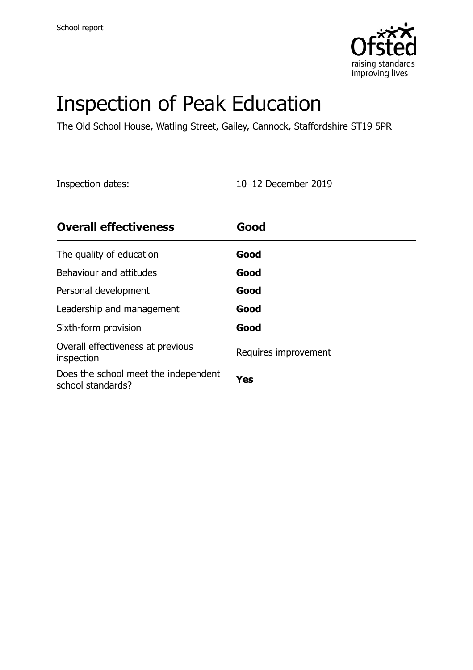

# Inspection of Peak Education

The Old School House, Watling Street, Gailey, Cannock, Staffordshire ST19 5PR

Inspection dates: 10–12 December 2019

| <b>Overall effectiveness</b>                              | Good                 |
|-----------------------------------------------------------|----------------------|
| The quality of education                                  | Good                 |
| Behaviour and attitudes                                   | Good                 |
| Personal development                                      | Good                 |
| Leadership and management                                 | Good                 |
| Sixth-form provision                                      | Good                 |
| Overall effectiveness at previous<br>inspection           | Requires improvement |
| Does the school meet the independent<br>school standards? | Yes                  |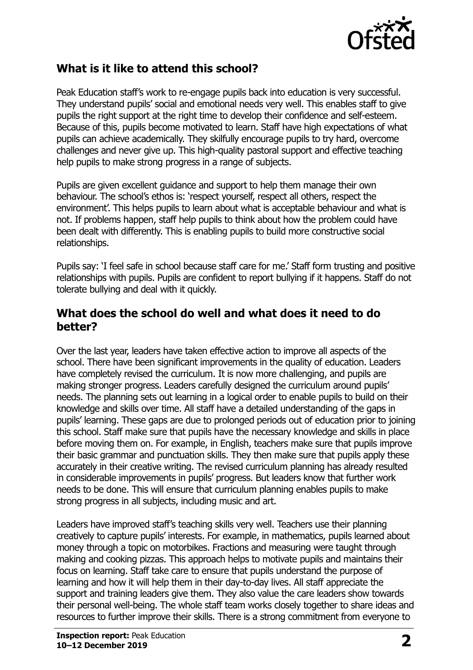

#### **What is it like to attend this school?**

Peak Education staff's work to re-engage pupils back into education is very successful. They understand pupils' social and emotional needs very well. This enables staff to give pupils the right support at the right time to develop their confidence and self-esteem. Because of this, pupils become motivated to learn. Staff have high expectations of what pupils can achieve academically. They skilfully encourage pupils to try hard, overcome challenges and never give up. This high-quality pastoral support and effective teaching help pupils to make strong progress in a range of subjects.

Pupils are given excellent guidance and support to help them manage their own behaviour. The school's ethos is: 'respect yourself, respect all others, respect the environment'. This helps pupils to learn about what is acceptable behaviour and what is not. If problems happen, staff help pupils to think about how the problem could have been dealt with differently. This is enabling pupils to build more constructive social relationships.

Pupils say: 'I feel safe in school because staff care for me.' Staff form trusting and positive relationships with pupils. Pupils are confident to report bullying if it happens. Staff do not tolerate bullying and deal with it quickly.

#### **What does the school do well and what does it need to do better?**

Over the last year, leaders have taken effective action to improve all aspects of the school. There have been significant improvements in the quality of education. Leaders have completely revised the curriculum. It is now more challenging, and pupils are making stronger progress. Leaders carefully designed the curriculum around pupils' needs. The planning sets out learning in a logical order to enable pupils to build on their knowledge and skills over time. All staff have a detailed understanding of the gaps in pupils' learning. These gaps are due to prolonged periods out of education prior to joining this school. Staff make sure that pupils have the necessary knowledge and skills in place before moving them on. For example, in English, teachers make sure that pupils improve their basic grammar and punctuation skills. They then make sure that pupils apply these accurately in their creative writing. The revised curriculum planning has already resulted in considerable improvements in pupils' progress. But leaders know that further work needs to be done. This will ensure that curriculum planning enables pupils to make strong progress in all subjects, including music and art.

Leaders have improved staff's teaching skills very well. Teachers use their planning creatively to capture pupils' interests. For example, in mathematics, pupils learned about money through a topic on motorbikes. Fractions and measuring were taught through making and cooking pizzas. This approach helps to motivate pupils and maintains their focus on learning. Staff take care to ensure that pupils understand the purpose of learning and how it will help them in their day-to-day lives. All staff appreciate the support and training leaders give them. They also value the care leaders show towards their personal well-being. The whole staff team works closely together to share ideas and resources to further improve their skills. There is a strong commitment from everyone to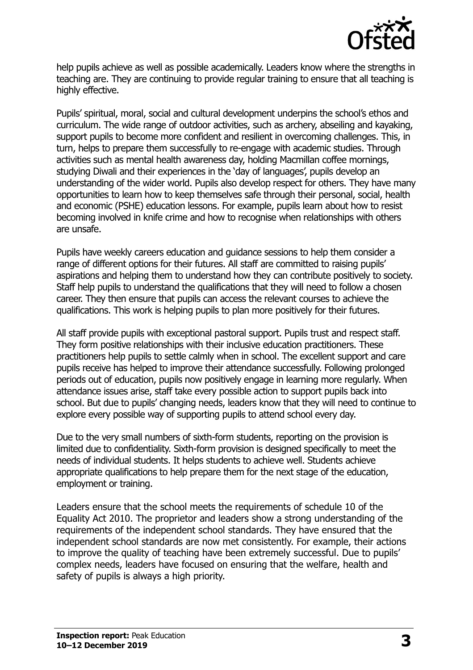

help pupils achieve as well as possible academically. Leaders know where the strengths in teaching are. They are continuing to provide regular training to ensure that all teaching is highly effective.

Pupils' spiritual, moral, social and cultural development underpins the school's ethos and curriculum. The wide range of outdoor activities, such as archery, abseiling and kayaking, support pupils to become more confident and resilient in overcoming challenges. This, in turn, helps to prepare them successfully to re-engage with academic studies. Through activities such as mental health awareness day, holding Macmillan coffee mornings, studying Diwali and their experiences in the 'day of languages', pupils develop an understanding of the wider world. Pupils also develop respect for others. They have many opportunities to learn how to keep themselves safe through their personal, social, health and economic (PSHE) education lessons. For example, pupils learn about how to resist becoming involved in knife crime and how to recognise when relationships with others are unsafe.

Pupils have weekly careers education and guidance sessions to help them consider a range of different options for their futures. All staff are committed to raising pupils' aspirations and helping them to understand how they can contribute positively to society. Staff help pupils to understand the qualifications that they will need to follow a chosen career. They then ensure that pupils can access the relevant courses to achieve the qualifications. This work is helping pupils to plan more positively for their futures.

All staff provide pupils with exceptional pastoral support. Pupils trust and respect staff. They form positive relationships with their inclusive education practitioners. These practitioners help pupils to settle calmly when in school. The excellent support and care pupils receive has helped to improve their attendance successfully. Following prolonged periods out of education, pupils now positively engage in learning more regularly. When attendance issues arise, staff take every possible action to support pupils back into school. But due to pupils' changing needs, leaders know that they will need to continue to explore every possible way of supporting pupils to attend school every day.

Due to the very small numbers of sixth-form students, reporting on the provision is limited due to confidentiality. Sixth-form provision is designed specifically to meet the needs of individual students. It helps students to achieve well. Students achieve appropriate qualifications to help prepare them for the next stage of the education, employment or training.

Leaders ensure that the school meets the requirements of schedule 10 of the Equality Act 2010. The proprietor and leaders show a strong understanding of the requirements of the independent school standards. They have ensured that the independent school standards are now met consistently. For example, their actions to improve the quality of teaching have been extremely successful. Due to pupils' complex needs, leaders have focused on ensuring that the welfare, health and safety of pupils is always a high priority.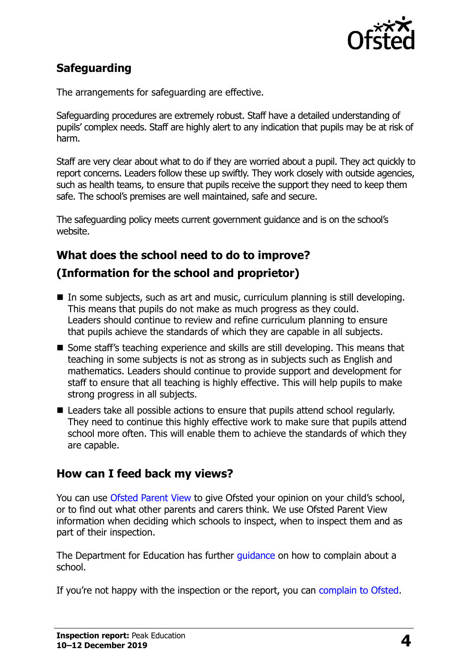

## **Safeguarding**

The arrangements for safeguarding are effective.

Safeguarding procedures are extremely robust. Staff have a detailed understanding of pupils' complex needs. Staff are highly alert to any indication that pupils may be at risk of harm.

Staff are very clear about what to do if they are worried about a pupil. They act quickly to report concerns. Leaders follow these up swiftly. They work closely with outside agencies, such as health teams, to ensure that pupils receive the support they need to keep them safe. The school's premises are well maintained, safe and secure.

The safeguarding policy meets current government guidance and is on the school's website.

### **What does the school need to do to improve?**

### **(Information for the school and proprietor)**

- $\blacksquare$  In some subjects, such as art and music, curriculum planning is still developing. This means that pupils do not make as much progress as they could. Leaders should continue to review and refine curriculum planning to ensure that pupils achieve the standards of which they are capable in all subjects.
- Some staff's teaching experience and skills are still developing. This means that teaching in some subjects is not as strong as in subjects such as English and mathematics. Leaders should continue to provide support and development for staff to ensure that all teaching is highly effective. This will help pupils to make strong progress in all subjects.
- Leaders take all possible actions to ensure that pupils attend school regularly. They need to continue this highly effective work to make sure that pupils attend school more often. This will enable them to achieve the standards of which they are capable.

#### **How can I feed back my views?**

You can use [Ofsted Parent View](http://parentview.ofsted.gov.uk/) to give Ofsted your opinion on your child's school, or to find out what other parents and carers think. We use Ofsted Parent View information when deciding which schools to inspect, when to inspect them and as part of their inspection.

The Department for Education has further quidance on how to complain about a school.

If you're not happy with the inspection or the report, you can [complain to Ofsted.](http://www.gov.uk/complain-ofsted-report)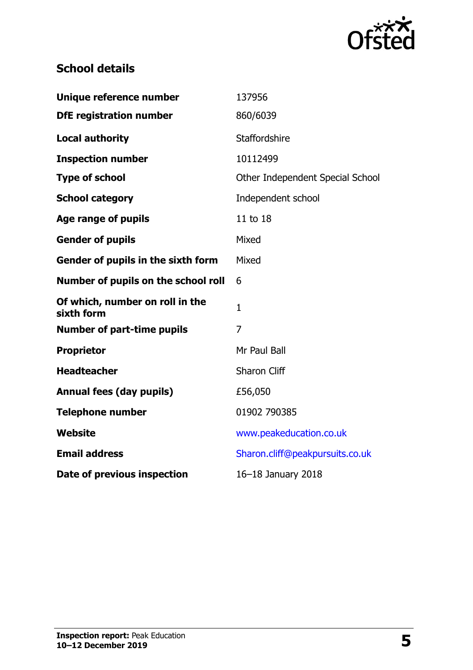

## **School details**

| Unique reference number                       | 137956                           |
|-----------------------------------------------|----------------------------------|
| <b>DfE registration number</b>                | 860/6039                         |
| <b>Local authority</b>                        | Staffordshire                    |
| <b>Inspection number</b>                      | 10112499                         |
| <b>Type of school</b>                         | Other Independent Special School |
| <b>School category</b>                        | Independent school               |
| <b>Age range of pupils</b>                    | 11 to 18                         |
| <b>Gender of pupils</b>                       | Mixed                            |
| Gender of pupils in the sixth form            | Mixed                            |
| Number of pupils on the school roll           | 6                                |
| Of which, number on roll in the<br>sixth form | 1                                |
| <b>Number of part-time pupils</b>             | 7                                |
| <b>Proprietor</b>                             | Mr Paul Ball                     |
| <b>Headteacher</b>                            | Sharon Cliff                     |
| <b>Annual fees (day pupils)</b>               | £56,050                          |
| <b>Telephone number</b>                       | 01902 790385                     |
| <b>Website</b>                                | www.peakeducation.co.uk          |
| <b>Email address</b>                          | Sharon.cliff@peakpursuits.co.uk  |
| Date of previous inspection                   | 16-18 January 2018               |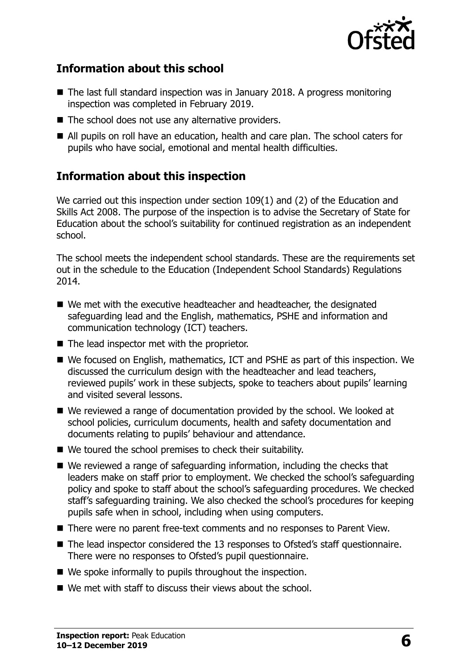

#### **Information about this school**

- The last full standard inspection was in January 2018. A progress monitoring inspection was completed in February 2019.
- The school does not use any alternative providers.
- All pupils on roll have an education, health and care plan. The school caters for pupils who have social, emotional and mental health difficulties.

#### **Information about this inspection**

We carried out this inspection under section 109(1) and (2) of the Education and Skills Act 2008. The purpose of the inspection is to advise the Secretary of State for Education about the school's suitability for continued registration as an independent school.

The school meets the independent school standards. These are the requirements set out in the schedule to the Education (Independent School Standards) Regulations 2014.

- We met with the executive headteacher and headteacher, the designated safeguarding lead and the English, mathematics, PSHE and information and communication technology (ICT) teachers.
- The lead inspector met with the proprietor.
- We focused on English, mathematics, ICT and PSHE as part of this inspection. We discussed the curriculum design with the headteacher and lead teachers, reviewed pupils' work in these subjects, spoke to teachers about pupils' learning and visited several lessons.
- We reviewed a range of documentation provided by the school. We looked at school policies, curriculum documents, health and safety documentation and documents relating to pupils' behaviour and attendance.
- We toured the school premises to check their suitability.
- We reviewed a range of safeguarding information, including the checks that leaders make on staff prior to employment. We checked the school's safeguarding policy and spoke to staff about the school's safeguarding procedures. We checked staff's safeguarding training. We also checked the school's procedures for keeping pupils safe when in school, including when using computers.
- There were no parent free-text comments and no responses to Parent View.
- The lead inspector considered the 13 responses to Ofsted's staff questionnaire. There were no responses to Ofsted's pupil questionnaire.
- We spoke informally to pupils throughout the inspection.
- We met with staff to discuss their views about the school.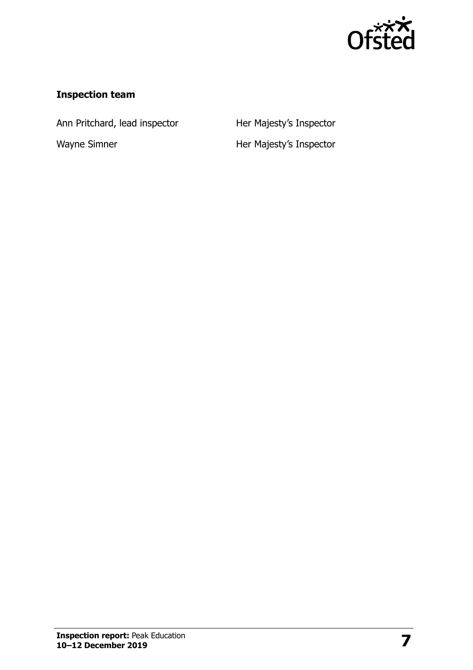

#### **Inspection team**

Ann Pritchard, lead inspector **Her Majesty's Inspector** 

Wayne Simner **Her Majesty's Inspector**